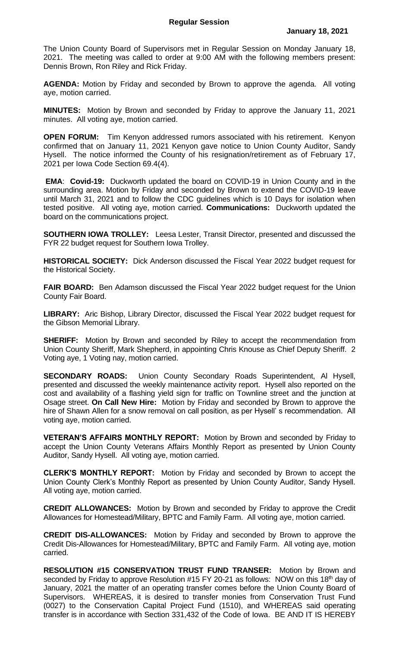The Union County Board of Supervisors met in Regular Session on Monday January 18, 2021. The meeting was called to order at 9:00 AM with the following members present: Dennis Brown, Ron Riley and Rick Friday.

**AGENDA:** Motion by Friday and seconded by Brown to approve the agenda. All voting aye, motion carried.

**MINUTES:** Motion by Brown and seconded by Friday to approve the January 11, 2021 minutes. All voting aye, motion carried.

**OPEN FORUM:** Tim Kenyon addressed rumors associated with his retirement. Kenyon confirmed that on January 11, 2021 Kenyon gave notice to Union County Auditor, Sandy Hysell. The notice informed the County of his resignation/retirement as of February 17, 2021 per Iowa Code Section 69.4(4).

**EMA**: **Covid-19:** Duckworth updated the board on COVID-19 in Union County and in the surrounding area. Motion by Friday and seconded by Brown to extend the COVID-19 leave until March 31, 2021 and to follow the CDC guidelines which is 10 Days for isolation when tested positive. All voting aye, motion carried. **Communications:** Duckworth updated the board on the communications project.

**SOUTHERN IOWA TROLLEY:** Leesa Lester, Transit Director, presented and discussed the FYR 22 budget request for Southern Iowa Trolley.

**HISTORICAL SOCIETY:** Dick Anderson discussed the Fiscal Year 2022 budget request for the Historical Society.

**FAIR BOARD:** Ben Adamson discussed the Fiscal Year 2022 budget request for the Union County Fair Board.

**LIBRARY:** Aric Bishop, Library Director, discussed the Fiscal Year 2022 budget request for the Gibson Memorial Library.

**SHERIFF:** Motion by Brown and seconded by Riley to accept the recommendation from Union County Sheriff, Mark Shepherd, in appointing Chris Knouse as Chief Deputy Sheriff. 2 Voting aye, 1 Voting nay, motion carried.

**SECONDARY ROADS:** Union County Secondary Roads Superintendent, Al Hysell, presented and discussed the weekly maintenance activity report. Hysell also reported on the cost and availability of a flashing yield sign for traffic on Townline street and the junction at Osage street. **On Call New Hire:** Motion by Friday and seconded by Brown to approve the hire of Shawn Allen for a snow removal on call position, as per Hysell' s recommendation. All voting aye, motion carried.

**VETERAN'S AFFAIRS MONTHLY REPORT:** Motion by Brown and seconded by Friday to accept the Union County Veterans Affairs Monthly Report as presented by Union County Auditor, Sandy Hysell. All voting aye, motion carried.

**CLERK'S MONTHLY REPORT:** Motion by Friday and seconded by Brown to accept the Union County Clerk's Monthly Report as presented by Union County Auditor, Sandy Hysell. All voting aye, motion carried.

**CREDIT ALLOWANCES:** Motion by Brown and seconded by Friday to approve the Credit Allowances for Homestead/Military, BPTC and Family Farm. All voting aye, motion carried.

**CREDIT DIS-ALLOWANCES:** Motion by Friday and seconded by Brown to approve the Credit Dis-Allowances for Homestead/Military, BPTC and Family Farm. All voting aye, motion carried.

**RESOLUTION #15 CONSERVATION TRUST FUND TRANSER:** Motion by Brown and seconded by Friday to approve Resolution #15 FY 20-21 as follows: NOW on this 18<sup>th</sup> day of January, 2021 the matter of an operating transfer comes before the Union County Board of Supervisors. WHEREAS, it is desired to transfer monies from Conservation Trust Fund (0027) to the Conservation Capital Project Fund (1510), and WHEREAS said operating transfer is in accordance with Section 331,432 of the Code of Iowa. BE AND IT IS HEREBY